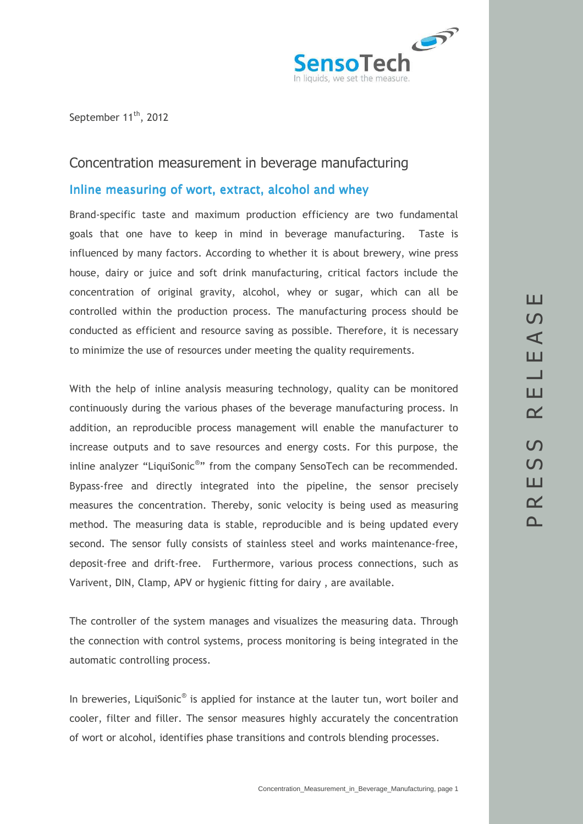

September 11<sup>th</sup>, 2012

# Concentration measurement in beverage manufacturing

## Inline measuring of wort, extract, alcohol and whey

Brand-specific taste and maximum production efficiency are two fundamental goals that one have to keep in mind in beverage manufacturing. Taste is influenced by many factors. According to whether it is about brewery, wine press house, dairy or juice and soft drink manufacturing, critical factors include the concentration of original gravity, alcohol, whey or sugar, which can all be controlled within the production process. The manufacturing process should be conducted as efficient and resource saving as possible. Therefore, it is necessary to minimize the use of resources under meeting the quality requirements.

With the help of inline analysis measuring technology, quality can be monitored continuously during the various phases of the beverage manufacturing process. In addition, an reproducible process management will enable the manufacturer to increase outputs and to save resources and energy costs. For this purpose, the inline analyzer "LiquiSonic®" from the company SensoTech can be recommended. Bypass-free and directly integrated into the pipeline, the sensor precisely measures the concentration. Thereby, sonic velocity is being used as measuring method. The measuring data is stable, reproducible and is being updated every second. The sensor fully consists of stainless steel and works maintenance-free, deposit-free and drift-free. Furthermore, various process connections, such as Varivent, DIN, Clamp, APV or hygienic fitting for dairy , are available.

The controller of the system manages and visualizes the measuring data. Through the connection with control systems, process monitoring is being integrated in the automatic controlling process.

In breweries, LiquiSonic® is applied for instance at the lauter tun, wort boiler and cooler, filter and filler. The sensor measures highly accurately the concentration of wort or alcohol, identifies phase transitions and controls blending processes.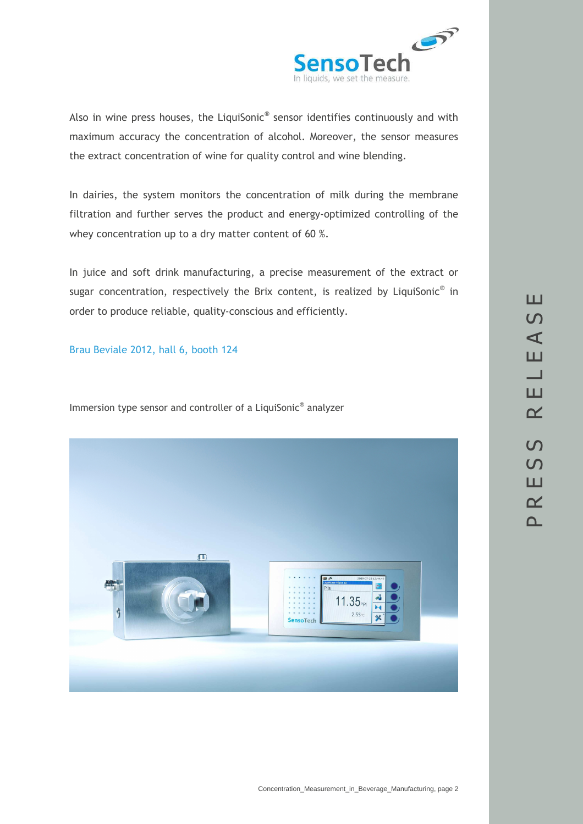

Also in wine press houses, the LiquiSonic $^{\circ}$  sensor identifies continuously and with maximum accuracy the concentration of alcohol. Moreover, the sensor measures the extract concentration of wine for quality control and wine blending.

In dairies, the system monitors the concentration of milk during the membrane filtration and further serves the product and energy-optimized controlling of the whey concentration up to a dry matter content of 60 %.

In juice and soft drink manufacturing, a precise measurement of the extract or sugar concentration, respectively the Brix content, is realized by LiquiSonic<sup>®</sup> in order to produce reliable, quality-conscious and efficiently.

#### Brau Beviale 2012, hall 6, booth 124

Immersion type sensor and controller of a LiquiSonic® analyzer